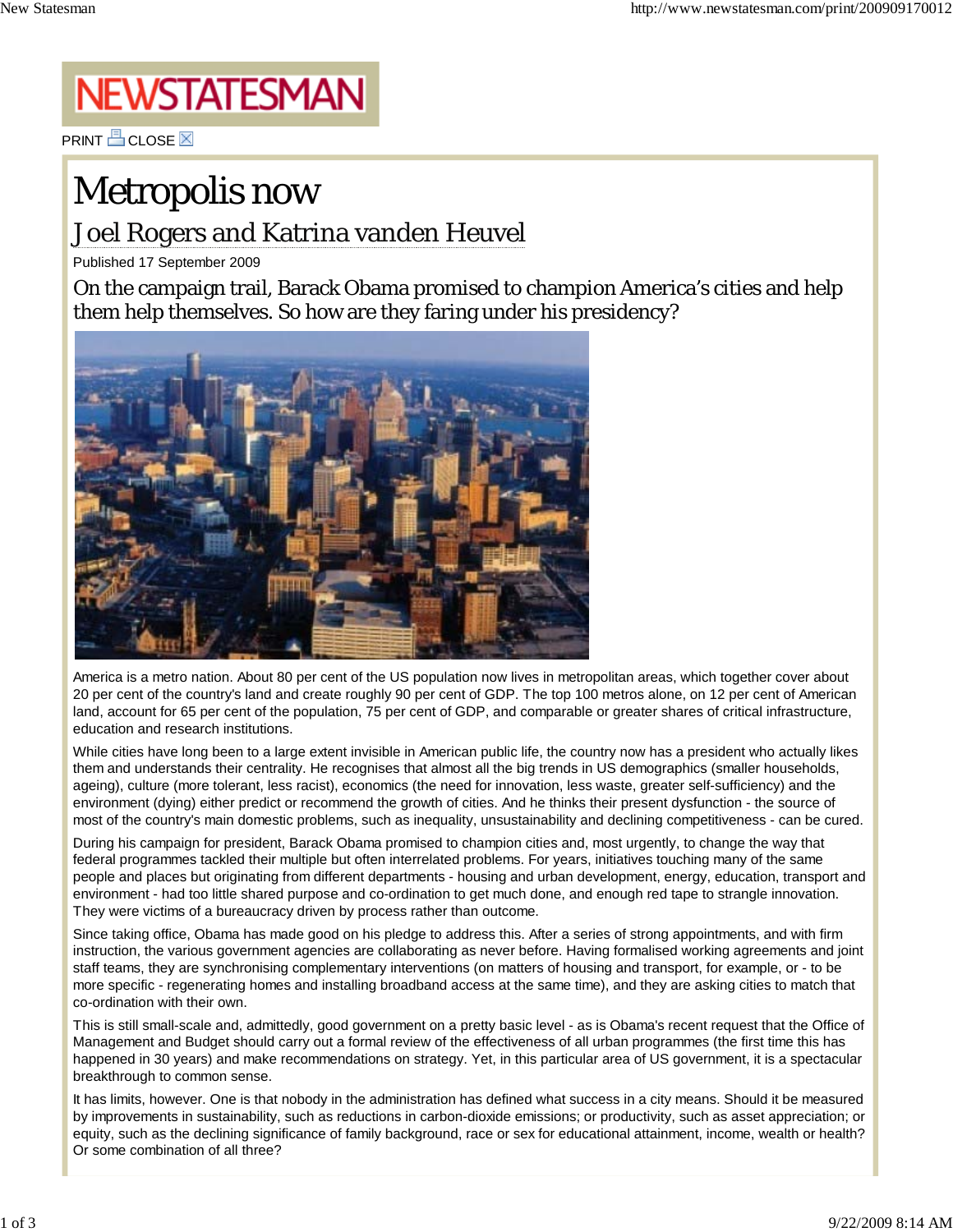## **NEWSTATESMAN**

**PRINT E CLOSE X** 

## Metropolis now Joel Rogers and Katrina vanden Heuvel

Published 17 September 2009

On the campaign trail, Barack Obama promised to champion America's cities and help them help themselves. So how are they faring under his presidency?



America is a metro nation. About 80 per cent of the US population now lives in metropolitan areas, which together cover about 20 per cent of the country's land and create roughly 90 per cent of GDP. The top 100 metros alone, on 12 per cent of American land, account for 65 per cent of the population, 75 per cent of GDP, and comparable or greater shares of critical infrastructure, education and research institutions.

While cities have long been to a large extent invisible in American public life, the country now has a president who actually likes them and understands their centrality. He recognises that almost all the big trends in US demographics (smaller households, ageing), culture (more tolerant, less racist), economics (the need for innovation, less waste, greater self-sufficiency) and the environment (dying) either predict or recommend the growth of cities. And he thinks their present dysfunction - the source of most of the country's main domestic problems, such as inequality, unsustainability and declining competitiveness - can be cured.

During his campaign for president, Barack Obama promised to champion cities and, most urgently, to change the way that federal programmes tackled their multiple but often interrelated problems. For years, initiatives touching many of the same people and places but originating from different departments - housing and urban development, energy, education, transport and environment - had too little shared purpose and co-ordination to get much done, and enough red tape to strangle innovation. They were victims of a bureaucracy driven by process rather than outcome.

Since taking office, Obama has made good on his pledge to address this. After a series of strong appointments, and with firm instruction, the various government agencies are collaborating as never before. Having formalised working agreements and joint staff teams, they are synchronising complementary interventions (on matters of housing and transport, for example, or - to be more specific - regenerating homes and installing broadband access at the same time), and they are asking cities to match that co-ordination with their own.

This is still small-scale and, admittedly, good government on a pretty basic level - as is Obama's recent request that the Office of Management and Budget should carry out a formal review of the effectiveness of all urban programmes (the first time this has happened in 30 years) and make recommendations on strategy. Yet, in this particular area of US government, it is a spectacular breakthrough to common sense.

It has limits, however. One is that nobody in the administration has defined what success in a city means. Should it be measured by improvements in sustainability, such as reductions in carbon-dioxide emissions; or productivity, such as asset appreciation; or equity, such as the declining significance of family background, race or sex for educational attainment, income, wealth or health? Or some combination of all three?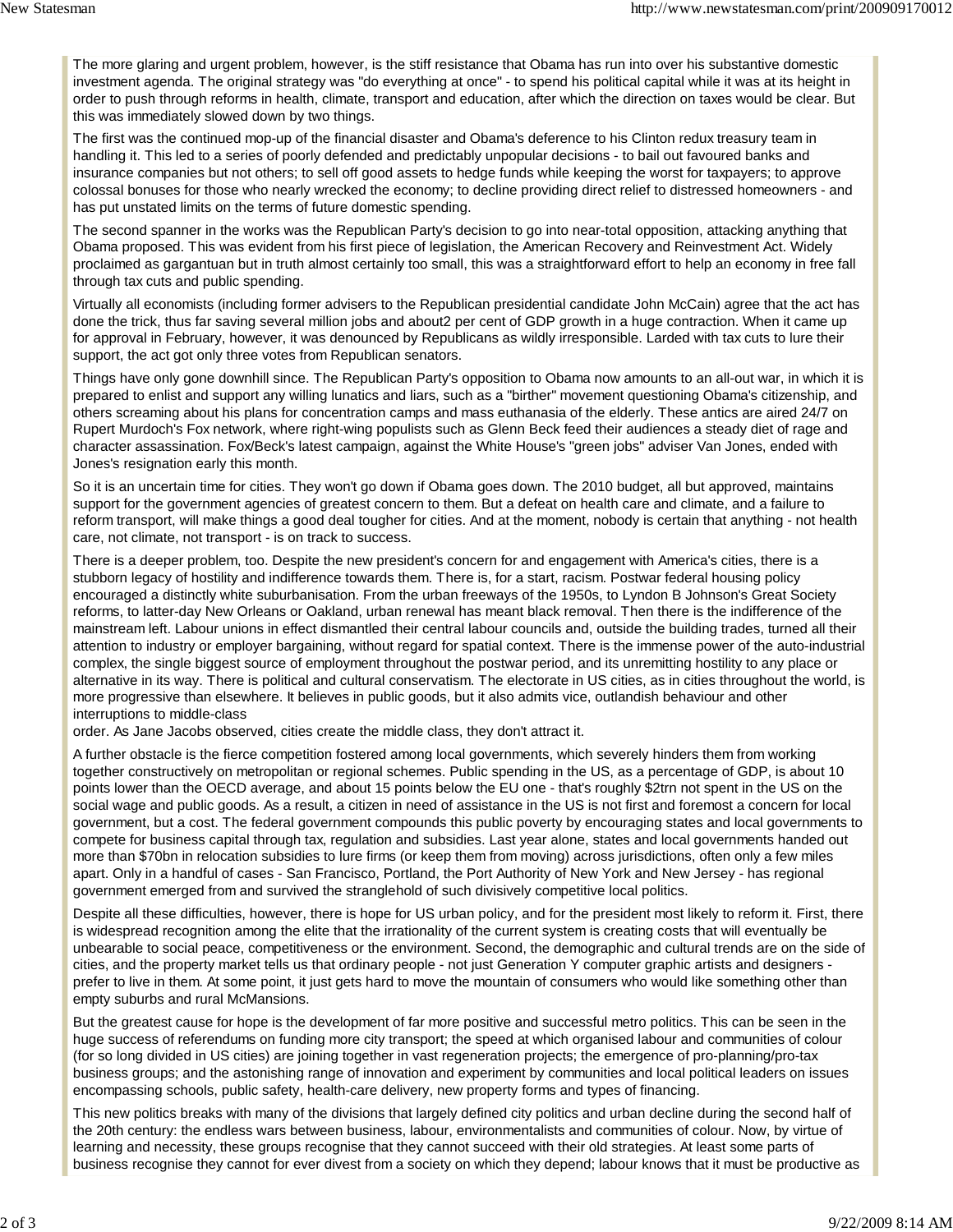The more glaring and urgent problem, however, is the stiff resistance that Obama has run into over his substantive domestic investment agenda. The original strategy was "do everything at once" - to spend his political capital while it was at its height in order to push through reforms in health, climate, transport and education, after which the direction on taxes would be clear. But this was immediately slowed down by two things.

The first was the continued mop-up of the financial disaster and Obama's deference to his Clinton redux treasury team in handling it. This led to a series of poorly defended and predictably unpopular decisions - to bail out favoured banks and insurance companies but not others; to sell off good assets to hedge funds while keeping the worst for taxpayers; to approve colossal bonuses for those who nearly wrecked the economy; to decline providing direct relief to distressed homeowners - and has put unstated limits on the terms of future domestic spending.

The second spanner in the works was the Republican Party's decision to go into near-total opposition, attacking anything that Obama proposed. This was evident from his first piece of legislation, the American Recovery and Reinvestment Act. Widely proclaimed as gargantuan but in truth almost certainly too small, this was a straightforward effort to help an economy in free fall through tax cuts and public spending.

Virtually all economists (including former advisers to the Republican presidential candidate John McCain) agree that the act has done the trick, thus far saving several million jobs and about2 per cent of GDP growth in a huge contraction. When it came up for approval in February, however, it was denounced by Republicans as wildly irresponsible. Larded with tax cuts to lure their support, the act got only three votes from Republican senators.

Things have only gone downhill since. The Republican Party's opposition to Obama now amounts to an all-out war, in which it is prepared to enlist and support any willing lunatics and liars, such as a "birther" movement questioning Obama's citizenship, and others screaming about his plans for concentration camps and mass euthanasia of the elderly. These antics are aired 24/7 on Rupert Murdoch's Fox network, where right-wing populists such as Glenn Beck feed their audiences a steady diet of rage and character assassination. Fox/Beck's latest campaign, against the White House's "green jobs" adviser Van Jones, ended with Jones's resignation early this month.

So it is an uncertain time for cities. They won't go down if Obama goes down. The 2010 budget, all but approved, maintains support for the government agencies of greatest concern to them. But a defeat on health care and climate, and a failure to reform transport, will make things a good deal tougher for cities. And at the moment, nobody is certain that anything - not health care, not climate, not transport - is on track to success.

There is a deeper problem, too. Despite the new president's concern for and engagement with America's cities, there is a stubborn legacy of hostility and indifference towards them. There is, for a start, racism. Postwar federal housing policy encouraged a distinctly white suburbanisation. From the urban freeways of the 1950s, to Lyndon B Johnson's Great Society reforms, to latter-day New Orleans or Oakland, urban renewal has meant black removal. Then there is the indifference of the mainstream left. Labour unions in effect dismantled their central labour councils and, outside the building trades, turned all their attention to industry or employer bargaining, without regard for spatial context. There is the immense power of the auto-industrial complex, the single biggest source of employment throughout the postwar period, and its unremitting hostility to any place or alternative in its way. There is political and cultural conservatism. The electorate in US cities, as in cities throughout the world, is more progressive than elsewhere. It believes in public goods, but it also admits vice, outlandish behaviour and other interruptions to middle-class

order. As Jane Jacobs observed, cities create the middle class, they don't attract it.

A further obstacle is the fierce competition fostered among local governments, which severely hinders them from working together constructively on metropolitan or regional schemes. Public spending in the US, as a percentage of GDP, is about 10 points lower than the OECD average, and about 15 points below the EU one - that's roughly \$2trn not spent in the US on the social wage and public goods. As a result, a citizen in need of assistance in the US is not first and foremost a concern for local government, but a cost. The federal government compounds this public poverty by encouraging states and local governments to compete for business capital through tax, regulation and subsidies. Last year alone, states and local governments handed out more than \$70bn in relocation subsidies to lure firms (or keep them from moving) across jurisdictions, often only a few miles apart. Only in a handful of cases - San Francisco, Portland, the Port Authority of New York and New Jersey - has regional government emerged from and survived the stranglehold of such divisively competitive local politics.

Despite all these difficulties, however, there is hope for US urban policy, and for the president most likely to reform it. First, there is widespread recognition among the elite that the irrationality of the current system is creating costs that will eventually be unbearable to social peace, competitiveness or the environment. Second, the demographic and cultural trends are on the side of cities, and the property market tells us that ordinary people - not just Generation Y computer graphic artists and designers prefer to live in them. At some point, it just gets hard to move the mountain of consumers who would like something other than empty suburbs and rural McMansions.

But the greatest cause for hope is the development of far more positive and successful metro politics. This can be seen in the huge success of referendums on funding more city transport; the speed at which organised labour and communities of colour (for so long divided in US cities) are joining together in vast regeneration projects; the emergence of pro-planning/pro-tax business groups; and the astonishing range of innovation and experiment by communities and local political leaders on issues encompassing schools, public safety, health-care delivery, new property forms and types of financing.

This new politics breaks with many of the divisions that largely defined city politics and urban decline during the second half of the 20th century: the endless wars between business, labour, environmentalists and communities of colour. Now, by virtue of learning and necessity, these groups recognise that they cannot succeed with their old strategies. At least some parts of business recognise they cannot for ever divest from a society on which they depend; labour knows that it must be productive as